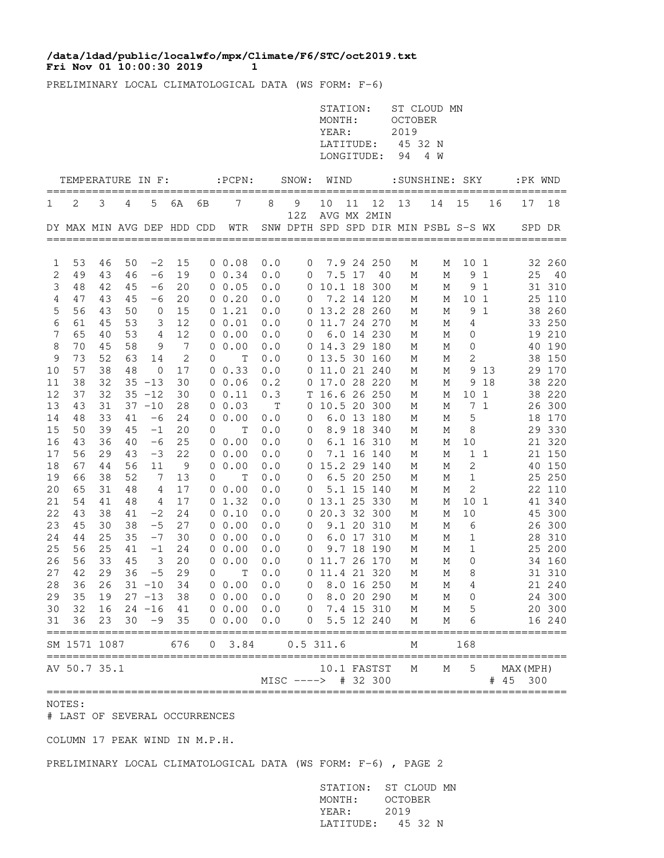## **Fri Nov 01 10:00:30 2019 1 /data/ldad/public/localwfo/mpx/Climate/F6/STC/oct2019.txt**

PRELIMINARY LOCAL CLIMATOLOGICAL DATA (WS FORM: F-6)

|             |                                                |    |    |                         |                 |                |                                      |     |                     | STATION:<br>MONTH:<br>YEAR:<br>LATITUDE:<br>LONGITUDE: |    |             | <b>OCTOBER</b><br>2019<br>45 32 N<br>94 | ST CLOUD MN<br>4 W                         |                 |                |                   |     |         |
|-------------|------------------------------------------------|----|----|-------------------------|-----------------|----------------|--------------------------------------|-----|---------------------|--------------------------------------------------------|----|-------------|-----------------------------------------|--------------------------------------------|-----------------|----------------|-------------------|-----|---------|
|             | TEMPERATURE IN F:                              |    |    |                         |                 |                | $:$ $PCPN:$                          |     | SNOW: WIND          |                                                        |    |             |                                         | :SUNSHINE: SKY                             |                 |                |                   |     | :PK WND |
| 1           | 2                                              | 3  | 4  | 5                       | 6A              | 6В             | 7                                    | 8   | 9                   | 10                                                     | 11 | 12          | 13                                      | ====================================<br>14 | 15              | 16             | ====<br>17        |     | 18      |
|             |                                                |    |    |                         |                 |                | DY MAX MIN AVG DEP HDD CDD WTR       |     | 12Z                 |                                                        |    | AVG MX 2MIN |                                         | SNW DPTH SPD SPD DIR MIN PSBL S-S WX       |                 |                |                   |     | SPD DR  |
|             |                                                |    |    |                         |                 |                |                                      |     |                     |                                                        |    |             |                                         |                                            |                 |                |                   |     |         |
| 1           | 53                                             | 46 | 50 | $-2$                    | 15              |                | 0 0.08                               | 0.0 | $\overline{0}$      |                                                        |    | 7.9 24 250  | М                                       | М                                          | 10 1            |                |                   |     | 32 260  |
| 2           | 49                                             | 43 | 46 | $-6$                    | 19              |                | $0 \t 0.34$                          | 0.0 | $\overline{0}$      |                                                        |    | 7.5 17 40   | М                                       | М                                          |                 | 9 1            |                   | 25  | 40      |
| $\mathsf 3$ | 48                                             | 42 | 45 | $-6$                    | 20              |                | 0 0.05                               | 0.0 |                     | 0 10.1 18 300                                          |    |             | М                                       | М                                          |                 | 9 1            |                   |     | 31 310  |
| 4           | 47                                             | 43 | 45 | $-6$                    | 20              |                | 0 0.20                               | 0.0 | $\overline{0}$      |                                                        |    | 7.2 14 120  | М                                       | М                                          | 10 <sub>1</sub> |                |                   |     | 25 110  |
| 5           | 56                                             | 43 | 50 | $\circ$                 | 15              |                | 0 1.21                               | 0.0 |                     | 0 13.2 28 260                                          |    |             | М                                       | М                                          |                 | 9 1            |                   |     | 38 260  |
| 6           | 61                                             | 45 | 53 | 3                       | 12              |                | 0 0.01                               | 0.0 |                     | 0 11.7 24 270                                          |    |             | М                                       | М                                          | 4               |                |                   |     | 33 250  |
| 7           | 65                                             | 40 | 53 | 4                       | 12              |                | $0\;\;0.00$                          | 0.0 | $\overline{0}$      |                                                        |    | 6.0 14 230  | М                                       | М                                          | 0               |                |                   |     | 19 210  |
| 8           | 70                                             | 45 | 58 | 9                       | $7\phantom{.0}$ |                | 0 0.00                               | 0.0 |                     | 0 14.3 29 180                                          |    |             | М                                       | М                                          | 0               |                |                   |     | 40 190  |
| $\mathsf 9$ | 73                                             | 52 | 63 | 14                      | 2               | 0              | $\mathbf T$                          | 0.0 |                     | 0 13.5 30 160                                          |    |             | М                                       | М                                          | $\mathbf{2}$    |                |                   |     | 38 150  |
| 10          | 57                                             | 38 | 48 | $\overline{0}$          | 17              |                | $0 \t 0.33$                          | 0.0 |                     | 0 11.0 21 240                                          |    |             | М                                       | М                                          |                 | 9 13           |                   |     | 29 170  |
| 11          | 38                                             | 32 |    | $35 - 13$               | 30              |                | 0 0.06                               | 0.2 |                     | 0 17.0 28 220                                          |    |             | М                                       | М                                          |                 | 9 18           |                   |     | 38 220  |
| 12          | 37                                             | 32 |    | $35 - 12$               | 30              |                | 0 0.11                               | 0.3 |                     | T 16.6 26 250                                          |    |             | М                                       | М                                          | 10 <sub>1</sub> |                |                   |     | 38 220  |
| 13          | 43                                             | 31 |    | $37 - 10$               | 28              |                | $0\;\;0.03$                          | Т   |                     | 0 10.5 20 300                                          |    |             | М                                       | М                                          |                 | 7 <sub>1</sub> |                   |     | 26 300  |
| 14          | 48                                             | 33 | 41 | -6                      | 24              |                | $0\;\;0.00$                          | 0.0 | 0                   |                                                        |    | 6.0 13 180  | М                                       | М                                          | 5               |                |                   |     | 18 170  |
| 15          | 50                                             | 39 | 45 | $-1$                    | 20              | 0              | $\mathbf T$                          | 0.0 | $\mathsf{O}$        |                                                        |    | 8.9 18 340  | М                                       | М                                          | 8               |                |                   |     | 29 330  |
| 16          | 43                                             | 36 | 40 | $-6$                    | 25              |                | $0\;\;0.00$                          | 0.0 | 0                   |                                                        |    | 6.1 16 310  | М                                       | М                                          | 10              |                |                   |     | 21 320  |
| 17          | 56                                             | 29 | 43 | $-3$                    | 22              |                | 0 0.00                               | 0.0 | $\overline{0}$      |                                                        |    | 7.1 16 140  | М                                       | М                                          |                 | $1\quad1$      |                   |     | 21 150  |
| 18          | 67                                             | 44 | 56 | 11                      | 9               |                | 0 0.00                               | 0.0 |                     | 0 15.2 29 140                                          |    |             | М                                       | М                                          | $\sqrt{2}$      |                |                   |     | 40 150  |
| 19          | 66                                             | 38 | 52 | 7                       | 13              | 0              | Т                                    | 0.0 | 0                   |                                                        |    | 6.5 20 250  | М                                       | М                                          | 1               |                |                   |     | 25 250  |
| 20          | 65                                             | 31 | 48 | 4                       | 17              |                | $0\;\;0.00$                          | 0.0 | 0                   |                                                        |    | 5.1 15 140  | М                                       | М                                          | $\mathbf{2}$    |                |                   |     | 22 110  |
| 21          | 54                                             | 41 | 48 | 4                       | 17              |                | 01.32                                | 0.0 |                     | 0 13.1 25 330                                          |    |             | М                                       | М                                          | 10 <sub>1</sub> |                |                   |     | 41 340  |
| 22          | 43                                             | 38 | 41 | $-2$                    | 24              |                | 0 0.10                               | 0.0 |                     | 0 20.3 32 300                                          |    |             | М                                       | М                                          | 10              |                |                   |     | 45 300  |
| 23          | 45                                             | 30 | 38 | $-5$                    | 27              |                | 0 0.00                               | 0.0 | $\overline{0}$      |                                                        |    | 9.1 20 310  | М                                       | М                                          | 6               |                |                   |     | 26 300  |
| 24          | 44                                             | 25 | 35 | $-7$                    | 30              |                | $0\;\;0.00$                          | 0.0 | $\overline{0}$      |                                                        |    | 6.0 17 310  | М                                       | М                                          | 1               |                |                   |     | 28 310  |
| 25          | 56                                             | 25 | 41 | $-1$                    | 24              |                | $0\;\;0.00$                          | 0.0 | $\overline{0}$      |                                                        |    | 9.7 18 190  | М                                       | М                                          | 1               |                |                   |     | 25 200  |
| 26          | 56                                             | 33 | 45 | $\overline{\mathbf{3}}$ | 20              |                | 0 0.00                               | 0.0 |                     | 0 11.7 26 170                                          |    |             | М                                       | М                                          | 0               |                |                   |     | 34 160  |
| 27          | 42                                             | 29 | 36 | $-5$                    | 29              | $\mathbf 0$    | $\mathbf T$                          | 0.0 |                     | 0 11.4 21 320                                          |    |             | М                                       | М                                          | $\,8\,$         |                |                   |     | 31 310  |
|             | 28 36                                          |    |    |                         |                 |                | 26 31 -10 34 0 0.00 0.0 0 8.0 16 250 |     |                     |                                                        |    |             | M                                       |                                            | $M$ 4           |                |                   |     | 21 240  |
| 29          | 35                                             |    |    | $19$ $27$ $-13$         | 38              |                | $0\;\;0.00$                          | 0.0 |                     | 0 8.0 20 290                                           |    |             | M                                       | M                                          | 0               |                |                   |     | 24 300  |
| 30          | 32                                             |    |    | $16$ 24 $-16$           | 41              |                | $0\;\;0.00$                          | 0.0 | $\overline{0}$      |                                                        |    | 7.4 15 310  | М                                       | М                                          | 5               |                |                   |     | 20 300  |
| 31          | 36                                             | 23 | 30 | $-9$                    | 35              |                | 0 0.00                               | 0.0 | $\overline{0}$      |                                                        |    | 5.5 12 240  | М                                       | М<br>=====================                 |                 |                | ==========        |     | 16 240  |
|             | SM 1571 1087<br>============================== |    |    |                         | 676             | $\overline{0}$ | 3.84                                 |     | 0.5311.6            |                                                        |    | =========== | М                                       |                                            | 168             |                |                   |     |         |
|             | AV 50.7 35.1                                   |    |    |                         |                 |                |                                      |     | MISC ----> # 32 300 |                                                        |    | 10.1 FASTST | М                                       | Μ                                          | 5               |                | MAX (MPH)<br># 45 | 300 |         |

NOTES:

# LAST OF SEVERAL OCCURRENCES

COLUMN 17 PEAK WIND IN M.P.H.

PRELIMINARY LOCAL CLIMATOLOGICAL DATA (WS FORM: F-6) , PAGE 2

 STATION: ST CLOUD MN MONTH: OCTOBER YEAR: 2019 LATITUDE: 45 32 N